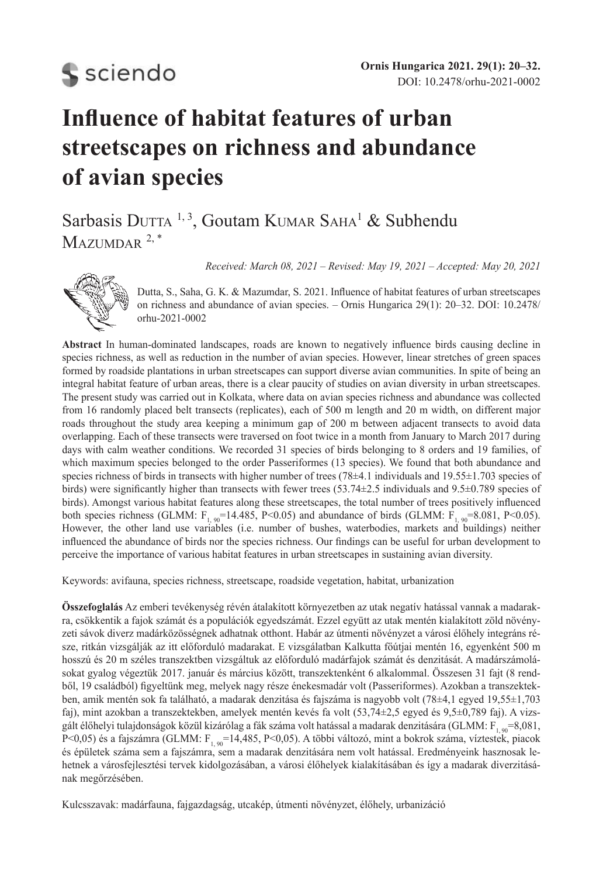# **S** sciendo

## **Influence of habitat features of urban streetscapes on richness and abundance of avian species**

## Sarbasis DUTTA<sup>1, 3</sup>, Goutam KUMAR SAHA<sup>1</sup> & Subhendu  $M$ AZUMDAR  $2, *$

*Received: March 08, 2021 – Revised: May 19, 2021 – Accepted: May 20, 2021*



Dutta, S., Saha, G. K. & Mazumdar, S. 2021. Influence of habitat features of urban streetscapes on richness and abundance of avian species. – Ornis Hungarica 29(1): 20–32. DOI: 10.2478/ orhu-2021-0002

**Abstract** In human-dominated landscapes, roads are known to negatively influence birds causing decline in species richness, as well as reduction in the number of avian species. However, linear stretches of green spaces formed by roadside plantations in urban streetscapes can support diverse avian communities. In spite of being an integral habitat feature of urban areas, there is a clear paucity of studies on avian diversity in urban streetscapes. The present study was carried out in Kolkata, where data on avian species richness and abundance was collected from 16 randomly placed belt transects (replicates), each of 500 m length and 20 m width, on different major roads throughout the study area keeping a minimum gap of 200 m between adjacent transects to avoid data overlapping. Each of these transects were traversed on foot twice in a month from January to March 2017 during days with calm weather conditions. We recorded 31 species of birds belonging to 8 orders and 19 families, of which maximum species belonged to the order Passeriformes (13 species). We found that both abundance and species richness of birds in transects with higher number of trees (78±4.1 individuals and 19.55±1.703 species of birds) were significantly higher than transects with fewer trees (53.74±2.5 individuals and 9.5±0.789 species of birds). Amongst various habitat features along these streetscapes, the total number of trees positively influenced both species richness (GLMM:  $F_{1.90}$ =14.485, P<0.05) and abundance of birds (GLMM:  $F_{1.90}$ =8.081, P<0.05). However, the other land use variables (i.e. number of bushes, waterbodies, markets and buildings) neither influenced the abundance of birds nor the species richness. Our findings can be useful for urban development to perceive the importance of various habitat features in urban streetscapes in sustaining avian diversity.

Keywords: avifauna, species richness, streetscape, roadside vegetation, habitat, urbanization

**Összefoglalás** Az emberi tevékenység révén átalakított környezetben az utak negatív hatással vannak a madarakra, csökkentik a fajok számát és a populációk egyedszámát. Ezzel együtt az utak mentén kialakított zöld növényzeti sávok diverz madárközösségnek adhatnak otthont. Habár az útmenti növényzet a városi élőhely integráns része, ritkán vizsgálják az itt előforduló madarakat. E vizsgálatban Kalkutta főútjai mentén 16, egyenként 500 m hosszú és 20 m széles transzektben vizsgáltuk az előforduló madárfajok számát és denzitását. A madárszámolásokat gyalog végeztük 2017. január és március között, transzektenként 6 alkalommal. Összesen 31 fajt (8 rendből, 19 családból) figyeltünk meg, melyek nagy része énekesmadár volt (Passeriformes). Azokban a transzektekben, amik mentén sok fa található, a madarak denzitása és fajszáma is nagyobb volt (78±4,1 egyed 19,55±1,703 faj), mint azokban a transzektekben, amelyek mentén kevés fa volt (53,74±2,5 egyed és 9,5±0,789 faj). A vizsgált élőhelyi tulajdonságok közül kizárólag a fák száma volt hatással a madarak denzitására (GLMM:  $F_{1.90} = 8.081$ , P<0,05) és a fajszámra (GLMM:  $F_{1.90}$ =14,485, P<0,05). A többi változó, mint a bokrok száma, víztestek, piacok és épületek száma sem a fajszámra, sem a madarak denzitására nem volt hatással. Eredményeink hasznosak lehetnek a városfejlesztési tervek kidolgozásában, a városi élőhelyek kialakításában és így a madarak diverzitásának megőrzésében.

Kulcsszavak: madárfauna, fajgazdagság, utcakép, útmenti növényzet, élőhely, urbanizáció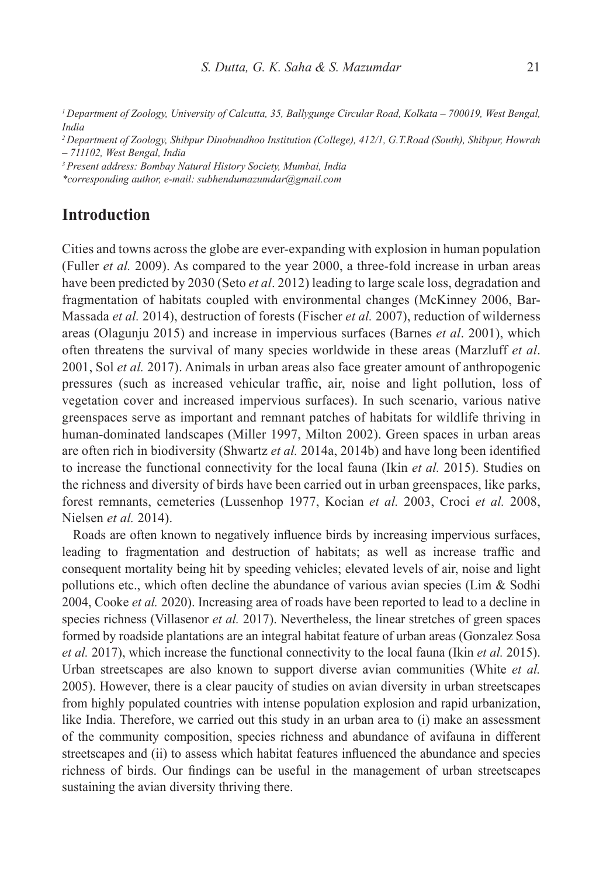*<sup>1</sup>Department of Zoology, University of Calcutta, 35, Ballygunge Circular Road, Kolkata – 700019, West Bengal, India*

*<sup>2</sup>Department of Zoology, Shibpur Dinobundhoo Institution (College), 412/1, G.T.Road (South), Shibpur, Howrah – 711102, West Bengal, India*

*<sup>3</sup>Present address: Bombay Natural History Society, Mumbai, India*

*\*corresponding author, e-mail: subhendumazumdar@gmail.com*

## **Introduction**

Cities and towns across the globe are ever-expanding with explosion in human population (Fuller *et al.* 2009). As compared to the year 2000, a three-fold increase in urban areas have been predicted by 2030 (Seto *et al*. 2012) leading to large scale loss, degradation and fragmentation of habitats coupled with environmental changes (McKinney 2006, Bar-Massada *et al.* 2014), destruction of forests (Fischer *et al.* 2007), reduction of wilderness areas (Olagunju 2015) and increase in impervious surfaces (Barnes *et al*. 2001), which often threatens the survival of many species worldwide in these areas (Marzluff *et al*. 2001, Sol *et al.* 2017). Animals in urban areas also face greater amount of anthropogenic pressures (such as increased vehicular traffic, air, noise and light pollution, loss of vegetation cover and increased impervious surfaces). In such scenario, various native greenspaces serve as important and remnant patches of habitats for wildlife thriving in human-dominated landscapes (Miller 1997, Milton 2002). Green spaces in urban areas are often rich in biodiversity (Shwartz *et al.* 2014a, 2014b) and have long been identified to increase the functional connectivity for the local fauna (Ikin *et al.* 2015). Studies on the richness and diversity of birds have been carried out in urban greenspaces, like parks, forest remnants, cemeteries (Lussenhop 1977, Kocian *et al.* 2003, Croci *et al.* 2008, Nielsen *et al.* 2014).

Roads are often known to negatively influence birds by increasing impervious surfaces, leading to fragmentation and destruction of habitats; as well as increase traffic and consequent mortality being hit by speeding vehicles; elevated levels of air, noise and light pollutions etc., which often decline the abundance of various avian species (Lim  $\&$  Sodhi 2004, Cooke *et al.* 2020). Increasing area of roads have been reported to lead to a decline in species richness (Villasenor *et al.* 2017). Nevertheless, the linear stretches of green spaces formed by roadside plantations are an integral habitat feature of urban areas (Gonzalez Sosa *et al.* 2017), which increase the functional connectivity to the local fauna (Ikin *et al.* 2015). Urban streetscapes are also known to support diverse avian communities (White *et al.* 2005). However, there is a clear paucity of studies on avian diversity in urban streetscapes from highly populated countries with intense population explosion and rapid urbanization, like India. Therefore, we carried out this study in an urban area to (i) make an assessment of the community composition, species richness and abundance of avifauna in different streetscapes and (ii) to assess which habitat features influenced the abundance and species richness of birds. Our findings can be useful in the management of urban streetscapes sustaining the avian diversity thriving there.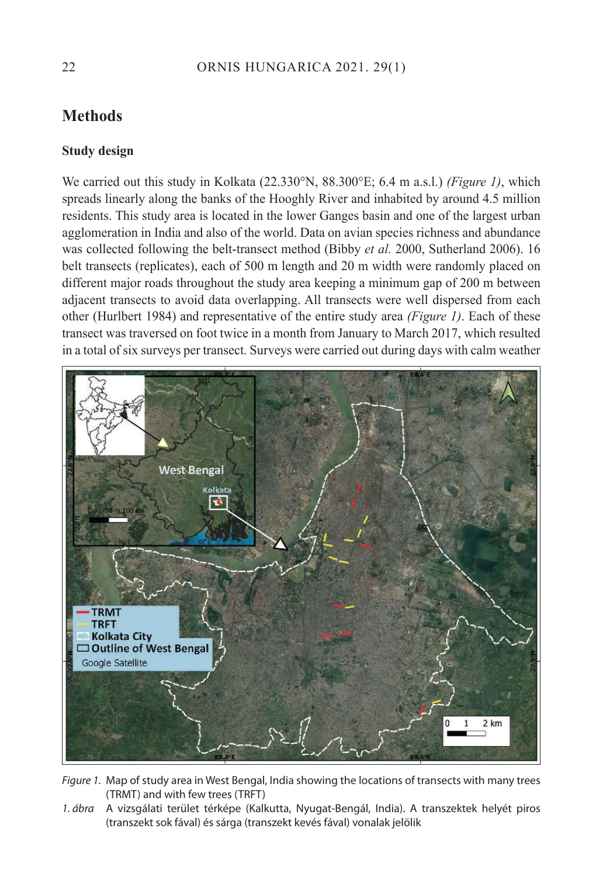## **Methods**

### **Study design**

We carried out this study in Kolkata (22.330°N, 88.300°E; 6.4 m a.s.l.) *(Figure 1)*, which spreads linearly along the banks of the Hooghly River and inhabited by around 4.5 million residents. This study area is located in the lower Ganges basin and one of the largest urban agglomeration in India and also of the world. Data on avian species richness and abundance was collected following the belt-transect method (Bibby *et al.* 2000, Sutherland 2006). 16 belt transects (replicates), each of 500 m length and 20 m width were randomly placed on different major roads throughout the study area keeping a minimum gap of 200 m between adjacent transects to avoid data overlapping. All transects were well dispersed from each other (Hurlbert 1984) and representative of the entire study area *(Figure 1)*. Each of these transect was traversed on foot twice in a month from January to March 2017, which resulted in a total of six surveys per transect. Surveys were carried out during days with calm weather



Figure 1. Map of study area in West Bengal, India showing the locations of transects with many trees (TRMT) and with few trees (TRFT)

1. ábra A vizsgálati terület térképe (Kalkutta, Nyugat-Bengál, India). A transzektek helyét piros (transzekt sok fával) és sárga (transzekt kevés fával) vonalak jelölik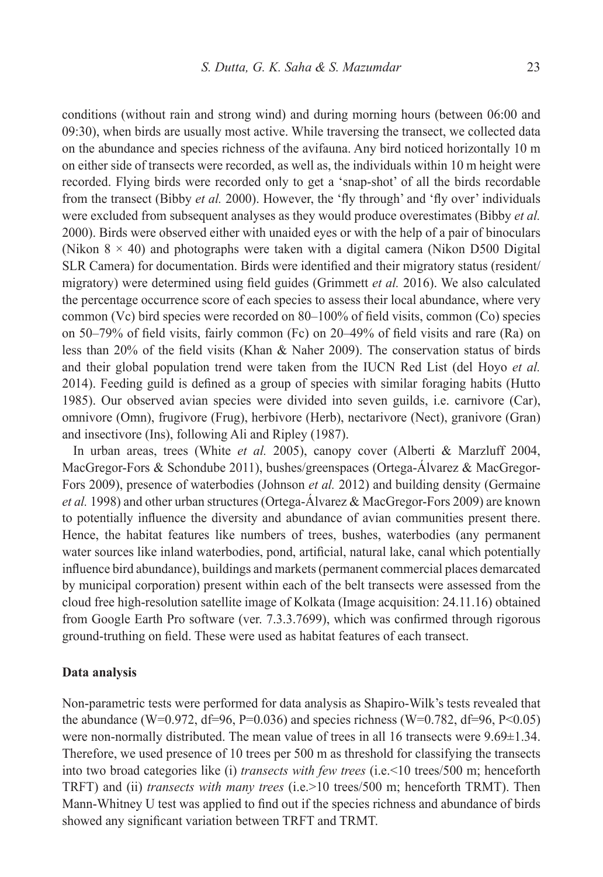conditions (without rain and strong wind) and during morning hours (between 06:00 and 09:30), when birds are usually most active. While traversing the transect, we collected data on the abundance and species richness of the avifauna. Any bird noticed horizontally 10 m on either side of transects were recorded, as well as, the individuals within 10 m height were recorded. Flying birds were recorded only to get a 'snap-shot' of all the birds recordable from the transect (Bibby *et al.* 2000). However, the 'fly through' and 'fly over' individuals were excluded from subsequent analyses as they would produce overestimates (Bibby *et al.* 2000). Birds were observed either with unaided eyes or with the help of a pair of binoculars (Nikon  $8 \times 40$ ) and photographs were taken with a digital camera (Nikon D500 Digital) SLR Camera) for documentation. Birds were identified and their migratory status (resident/ migratory) were determined using field guides (Grimmett *et al.* 2016). We also calculated the percentage occurrence score of each species to assess their local abundance, where very common (Vc) bird species were recorded on 80–100% of field visits, common (Co) species on 50–79% of field visits, fairly common (Fc) on 20–49% of field visits and rare (Ra) on less than 20% of the field visits (Khan & Naher 2009). The conservation status of birds and their global population trend were taken from the IUCN Red List (del Hoyo *et al.* 2014). Feeding guild is defined as a group of species with similar foraging habits (Hutto 1985). Our observed avian species were divided into seven guilds, i.e. carnivore (Car), omnivore (Omn), frugivore (Frug), herbivore (Herb), nectarivore (Nect), granivore (Gran) and insectivore (Ins), following Ali and Ripley (1987).

In urban areas, trees (White *et al.* 2005), canopy cover (Alberti & Marzluff 2004, MacGregor-Fors & Schondube 2011), bushes/greenspaces (Ortega-Álvarez & MacGregor-Fors 2009), presence of waterbodies (Johnson *et al.* 2012) and building density (Germaine *et al.* 1998) and other urban structures (Ortega-Álvarez & MacGregor-Fors 2009) are known to potentially influence the diversity and abundance of avian communities present there. Hence, the habitat features like numbers of trees, bushes, waterbodies (any permanent water sources like inland waterbodies, pond, artificial, natural lake, canal which potentially influence bird abundance), buildings and markets (permanent commercial places demarcated by municipal corporation) present within each of the belt transects were assessed from the cloud free high-resolution satellite image of Kolkata (Image acquisition: 24.11.16) obtained from Google Earth Pro software (ver. 7.3.3.7699), which was confirmed through rigorous ground-truthing on field. These were used as habitat features of each transect.

#### **Data analysis**

Non-parametric tests were performed for data analysis as Shapiro-Wilk's tests revealed that the abundance (W=0.972, df=96, P=0.036) and species richness (W=0.782, df=96, P<0.05) were non-normally distributed. The mean value of trees in all 16 transects were 9.69±1.34. Therefore, we used presence of 10 trees per 500 m as threshold for classifying the transects into two broad categories like (i) *transects with few trees* (i.e.<10 trees/500 m; henceforth TRFT) and (ii) *transects with many trees* (i.e.>10 trees/500 m; henceforth TRMT). Then Mann-Whitney U test was applied to find out if the species richness and abundance of birds showed any significant variation between TRFT and TRMT.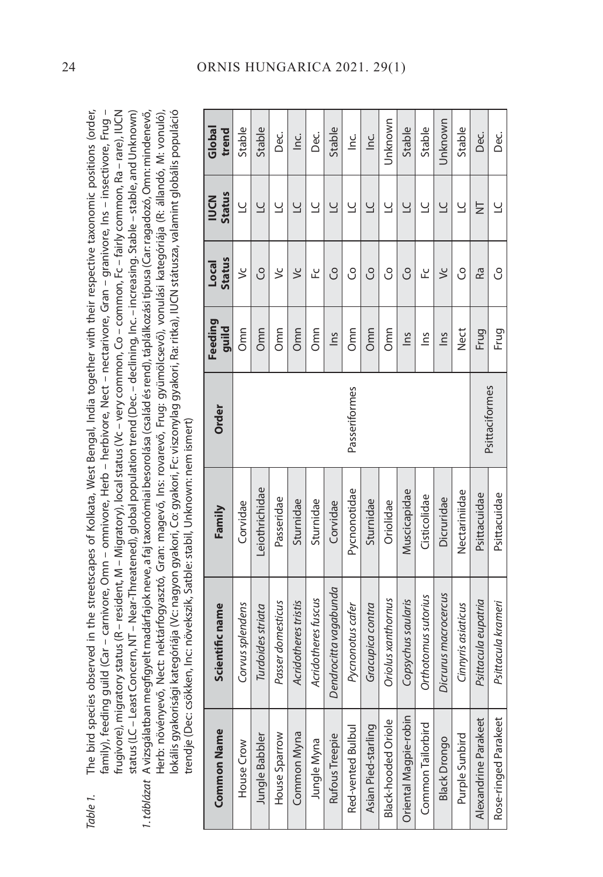| Table 1. The bird species observed in the streetscapes of Kolkata, West Bengal, India together with their respective taxonomic positions (order,        |
|---------------------------------------------------------------------------------------------------------------------------------------------------------|
| family), feeding guild (Car – carnivore, Omn – omnivore, Herb – herbivore, Nect – nectarivore, Gran – granivore, Ins – insectivore, Frug –              |
| rugivore), migratory status (R – resident, M – Migratory), local status (Vc – very common, Co – common, Fc – fairly common, Ra – rare), IUCN            |
| status (LC – Least Concern, NT – Near-Threatened), global population trend (Dec. – declining, Inc. – increasing. Stable – stable, and Unknown)          |
| I. táblázat A vizsgálatban megfigyelt madárfajokneve, a faj taxonómiai besorolása (család és rend), táplálkozási típusa (Car: ragadozó, Omn: mindenevő, |
| -lerb: növényevő, Nect: nektárfogyasztó, Gran: magevő, Ins: rovarevő, Frug: gyümölcsevő), vonulási kategóriája (R: állandó, M: vonuló),                 |
| kategóriája (Vc: nagyon gyakori, Co: gyakori, Fc: viszonylag gyakori, Ra: ritka), IUCN státusza, valamint globális populáció<br>okális gyakorisági      |
| rendje (Dec: csökken, Inc: növekszik, Satble: stabil, Unknown: nem ismert)                                                                              |

| <b>Common Name</b>    | Scientific name            | Family         | Order          | Feeding<br>guild | <b>Status</b><br>Local | <b>Status</b><br><b>NDCN</b> | Global<br>trend |
|-----------------------|----------------------------|----------------|----------------|------------------|------------------------|------------------------------|-----------------|
| House Crow            | Corvus splendens           | Corvidae       |                | Omn              | ئ                      | $\cup$                       | Stable          |
| Jungle Babbler        | Turdoides striata          | Leiothrichidae |                | Omn              | S                      | $\overline{C}$               | Stable          |
| House Sparrow         | Passer domesticus          | Passeridae     |                | Omn              | ئ                      | ⊻                            | Dec.            |
| Common Myna           | Acridotheres tristis       | Sturnidae      |                | Omn              | $\leq$                 | $\cup$                       | <u>ن</u><br>ا   |
| Jungle Myna           | Acridotheres fuscus        | Sturnidae      |                | Omn              | ں                      | $\cup$                       | Dec.            |
| Rufous Treepie        | Dendrocitta vagabunda      | Corvidae       |                | $\frac{2}{10}$   | S                      | $\cup$                       | Stable          |
| Red-vented Bulbul     | Pycnonotus cafer           | Pycnonotidae   | Passeriformes  | Omn              | උ                      | $\cup$                       | ن<br>ا          |
| Asian Pied-starling   | Gracupica contra           | Sturnidae      |                | Omn              | S                      | $\cup$                       | $\frac{c}{n}$   |
| Black-hooded Oriole   | Oriolus xanthornus         | Oriolidae      |                | Omn              | S                      | Ľ                            | Unknown         |
| Oriental Magpie-robin | Copsychus saularis         | Muscicapidae   |                | Ins              | S                      | $\cup$                       | Stable          |
| Common Tailorbird     | <b>Orthotomus sutorius</b> | Cisticolidae   |                | $\tilde{m}$      | ں<br>سا                | $\cup$                       | Stable          |
| <b>Black Drongo</b>   | Dicrurus macrocercus       | Dicruridae     |                | $\frac{2}{1}$    | $\leq$                 | $\overline{a}$               | Unknown         |
| Purple Sunbird        | Cinnyris asiaticus         | Nectariniidae  |                | Nect             | S                      | 5                            | Stable          |
| Alexandrine Parakeet  | Psittacula eupatria        | Psittacuidae   |                | Frug             | Ra                     | Ż                            | Dec.            |
| Rose-ringed Parakeet  | Psittacula krameri         | Psittacuidae   | Psittaciformes | Frug             | S                      | $\cup$                       | C.<br>Dec       |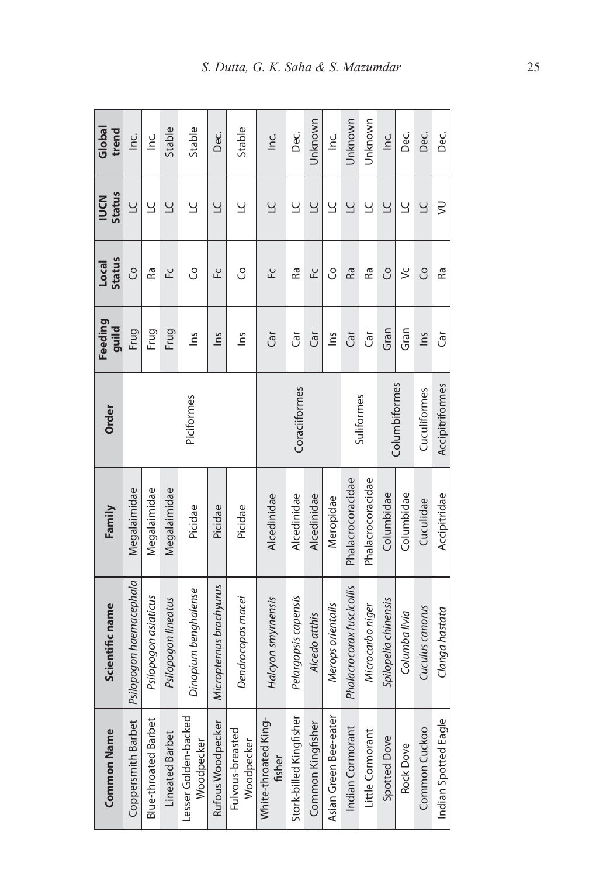| Global<br>trend              | $rac{C}{D}$             | <u>ن</u><br>1               | Stable                 | Stable                             | Dec.                    | Stable                         | ن<br>ا                         | Dec.                    | Unknown           | $\frac{c}{\Gamma}$    | Unknown                   | Unknown           | $rac{C}{2}$          | Ce<br>O         | Dec.            | Ce<br>O              |
|------------------------------|-------------------------|-----------------------------|------------------------|------------------------------------|-------------------------|--------------------------------|--------------------------------|-------------------------|-------------------|-----------------------|---------------------------|-------------------|----------------------|-----------------|-----------------|----------------------|
| <b>Status</b><br><b>IDCN</b> | $\cup$                  | $\cup$                      | $\overline{C}$         | $\cup$                             | $\overline{C}$          | $\cup$                         | $\cup$                         | $\cup$                  | $\cup$            | $\cup$                | $\overline{C}$            | $\overline{a}$    | $\cup$               | $\cup$          | $\overline{C}$  | $\geq$               |
| <b>Status</b><br>Local       | S                       | Ra                          | ᆚ                      | S                                  | ᆚ                       | S                              | 잎                              | Ra                      | 오                 | S                     | Ra                        | Ra                | S                    | ئ               | S               | Ra                   |
| Feeding<br>guild             | Frug                    | Frug                        | Frug                   | <u>c</u> u                         | $\frac{2}{1}$           | $\frac{2}{10}$                 | Ğ                              | đ                       | đ                 | $\tilde{m}$           | Ğ                         | آق                | Gran                 | Gran            | $\frac{2}{10}$  | đ                    |
| Order                        | Piciformes              |                             |                        |                                    | Coraciiformes           |                                |                                |                         | Suliformes        |                       | Columbiformes             |                   | Cuculiformes         | Accipitriformes |                 |                      |
| Family                       | Megalaimidae            | Megalaimidae                | Megalaimidae           | Picidae                            | Picidae                 | Picidae                        | Alcedinidae                    | Alcedinidae             | Alcedinidae       | Meropidae             | Phalacrocoracidae         | Phalacrocoracidae | Columbidae           | Columbidae      | Cuculidae       | Accipitridae         |
| Scientific name              | Psilopogon haemacephala | Psilopogon asiaticus        | Psilopogon lineatus    | Dinopium benghalense               | Micropternus brachyurus | Dendrocopos macei              | Halcyon smyrnensis             | Pelargopsis capensis    | Alcedo atthis     | Merops orientalis     | Phalacrocorax fuscicollis | Microcarbo niger  | Spilopelia chinensis | Columba livia   | Cuculus canorus | Clanga hastata       |
| <b>Common Name</b>           | Coppersmith Barbet      | <b>Blue-throated Barbet</b> | <b>Lineated Barbet</b> | Lesser Golden-backed<br>Woodpecker | Rufous Woodpecker       | Fulvous-breasted<br>Woodpecker | White-throated King-<br>fisher | Stork-billed Kingfisher | Common Kingfisher | Asian Green Bee-eater | Indian Cormorant          | Little Cormorant  | Spotted Dove         | Rock Dove       | Common Cuckoo   | Indian Spotted Eagle |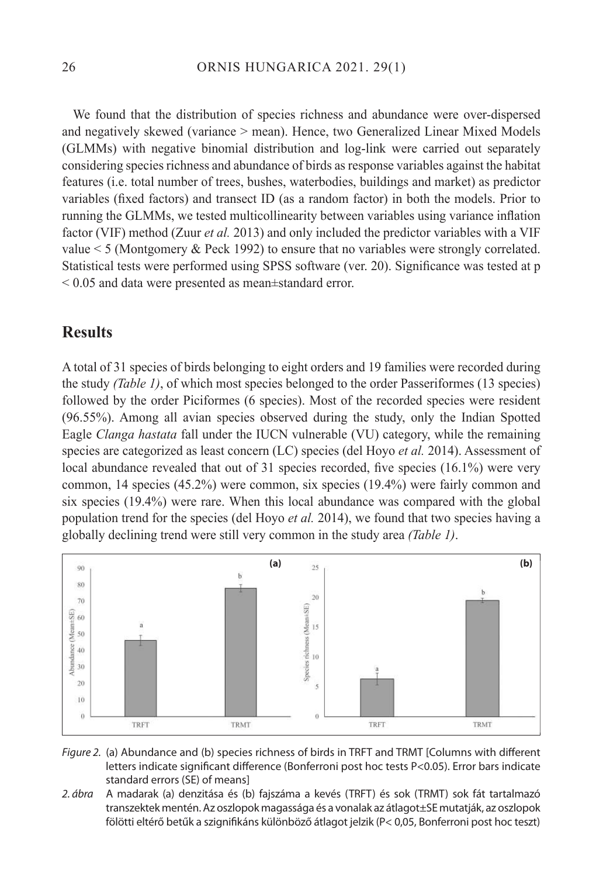We found that the distribution of species richness and abundance were over-dispersed and negatively skewed (variance > mean). Hence, two Generalized Linear Mixed Models (GLMMs) with negative binomial distribution and log-link were carried out separately considering species richness and abundance of birds as response variables against the habitat features (i.e. total number of trees, bushes, waterbodies, buildings and market) as predictor variables (fixed factors) and transect ID (as a random factor) in both the models. Prior to running the GLMMs, we tested multicollinearity between variables using variance inflation factor (VIF) method (Zuur *et al.* 2013) and only included the predictor variables with a VIF value < 5 (Montgomery & Peck 1992) to ensure that no variables were strongly correlated. Statistical tests were performed using SPSS software (ver. 20). Significance was tested at p < 0.05 and data were presented as mean±standard error.

## **Results**

A total of 31 species of birds belonging to eight orders and 19 families were recorded during the study *(Table 1)*, of which most species belonged to the order Passeriformes (13 species) followed by the order Piciformes (6 species). Most of the recorded species were resident (96.55%). Among all avian species observed during the study, only the Indian Spotted Eagle *Clanga hastata* fall under the IUCN vulnerable (VU) category, while the remaining species are categorized as least concern (LC) species (del Hoyo *et al.* 2014). Assessment of local abundance revealed that out of 31 species recorded, five species (16.1%) were very common, 14 species (45.2%) were common, six species (19.4%) were fairly common and six species (19.4%) were rare. When this local abundance was compared with the global population trend for the species (del Hoyo *et al.* 2014), we found that two species having a globally declining trend were still very common in the study area *(Table 1)*.





2. ábra A madarak (a) denzitása és (b) fajszáma a kevés (TRFT) és sok (TRMT) sok fát tartalmazó transzektek mentén. Az oszlopok magassága és a vonalak az átlagot±SE mutatják, az oszlopok fölötti eltérő betűk a szignifikáns különböző átlagot jelzik (P< 0,05, Bonferroni post hoc teszt)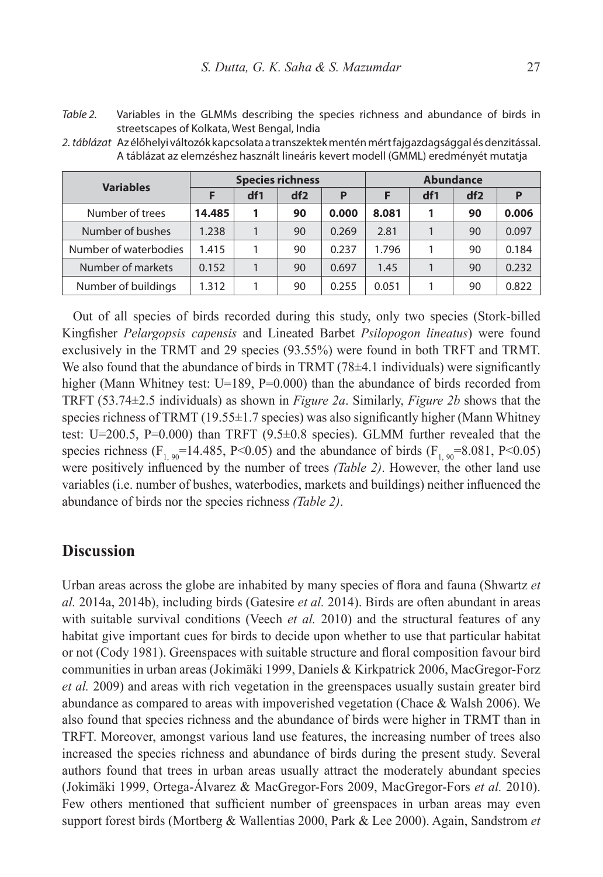Table 2. Variables in the GLMMs describing the species richness and abundance of birds in streetscapes of Kolkata, West Bengal, India

2. táblázat Az élőhelyi változók kapcsolata a transzektek mentén mért fajgazdagsággal és denzitással. A táblázat az elemzéshez használt lineáris kevert modell (GMML) eredményét mutatja

| <b>Variables</b>      |        |     | <b>Species richness</b> |       | <b>Abundance</b> |     |     |       |  |  |
|-----------------------|--------|-----|-------------------------|-------|------------------|-----|-----|-------|--|--|
|                       |        | df1 | df2                     | P     |                  | df1 | df2 | P     |  |  |
| Number of trees       | 14.485 | 1   | 90                      | 0.000 | 8.081            | 1   | 90  | 0.006 |  |  |
| Number of bushes      | 1.238  |     | 90                      | 0.269 | 2.81             |     | 90  | 0.097 |  |  |
| Number of waterbodies | 1.415  |     | 90                      | 0.237 | 1.796            |     | 90  | 0.184 |  |  |
| Number of markets     | 0.152  |     | 90                      | 0.697 | 1.45             |     | 90  | 0.232 |  |  |
| Number of buildings   | 1.312  |     | 90                      | 0.255 | 0.051            |     | 90  | 0.822 |  |  |

Out of all species of birds recorded during this study, only two species (Stork-billed Kingfisher *Pelargopsis capensis* and Lineated Barbet *Psilopogon lineatus*) were found exclusively in the TRMT and 29 species (93.55%) were found in both TRFT and TRMT. We also found that the abundance of birds in TRMT (78±4.1 individuals) were significantly higher (Mann Whitney test: U=189, P=0.000) than the abundance of birds recorded from TRFT (53.74±2.5 individuals) as shown in *Figure 2a*. Similarly, *Figure 2b* shows that the species richness of TRMT  $(19.55\pm1.7$  species) was also significantly higher (Mann Whitney test: U=200.5, P=0.000) than TRFT ( $9.5\pm0.8$  species). GLMM further revealed that the species richness (F<sub>1, 90</sub>=14.485, P<0.05) and the abundance of birds (F<sub>1, 90</sub>=8.081, P<0.05) were positively influenced by the number of trees *(Table 2)*. However, the other land use variables (i.e. number of bushes, waterbodies, markets and buildings) neither influenced the abundance of birds nor the species richness *(Table 2)*.

## **Discussion**

Urban areas across the globe are inhabited by many species of flora and fauna (Shwartz *et al.* 2014a, 2014b), including birds (Gatesire *et al.* 2014). Birds are often abundant in areas with suitable survival conditions (Veech *et al.* 2010) and the structural features of any habitat give important cues for birds to decide upon whether to use that particular habitat or not (Cody 1981). Greenspaces with suitable structure and floral composition favour bird communities in urban areas (Jokimäki 1999, Daniels & Kirkpatrick 2006, MacGregor-Forz *et al.* 2009) and areas with rich vegetation in the greenspaces usually sustain greater bird abundance as compared to areas with impoverished vegetation (Chace & Walsh 2006). We also found that species richness and the abundance of birds were higher in TRMT than in TRFT. Moreover, amongst various land use features, the increasing number of trees also increased the species richness and abundance of birds during the present study. Several authors found that trees in urban areas usually attract the moderately abundant species (Jokimäki 1999, Ortega-Álvarez & MacGregor-Fors 2009, MacGregor-Fors *et al.* 2010). Few others mentioned that sufficient number of greenspaces in urban areas may even support forest birds (Mortberg & Wallentias 2000, Park & Lee 2000). Again, Sandstrom *et*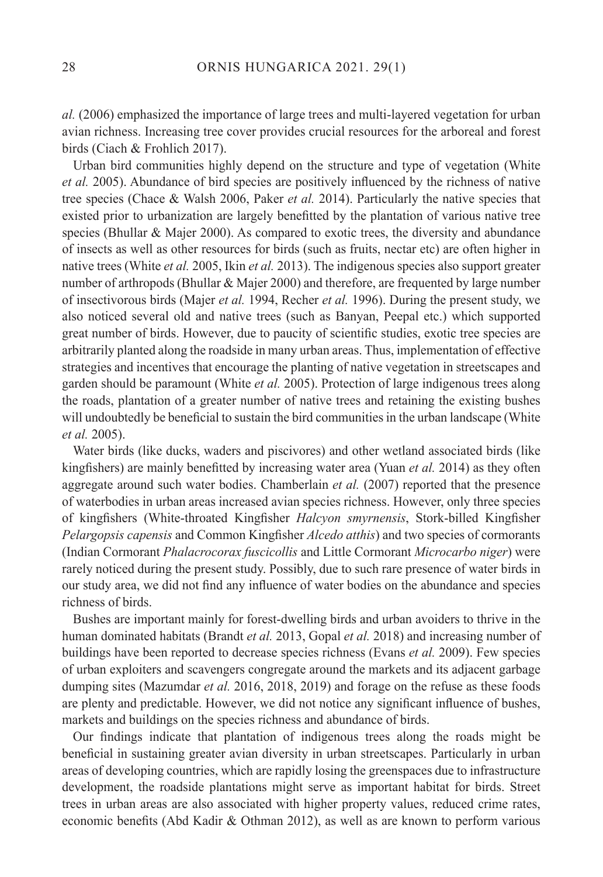*al.* (2006) emphasized the importance of large trees and multi-layered vegetation for urban avian richness. Increasing tree cover provides crucial resources for the arboreal and forest birds (Ciach & Frohlich 2017).

Urban bird communities highly depend on the structure and type of vegetation (White *et al.* 2005). Abundance of bird species are positively influenced by the richness of native tree species (Chace & Walsh 2006, Paker *et al.* 2014). Particularly the native species that existed prior to urbanization are largely benefitted by the plantation of various native tree species (Bhullar & Majer 2000). As compared to exotic trees, the diversity and abundance of insects as well as other resources for birds (such as fruits, nectar etc) are often higher in native trees (White *et al.* 2005, Ikin *et al.* 2013). The indigenous species also support greater number of arthropods (Bhullar & Majer 2000) and therefore, are frequented by large number of insectivorous birds (Majer *et al.* 1994, Recher *et al.* 1996). During the present study, we also noticed several old and native trees (such as Banyan, Peepal etc.) which supported great number of birds. However, due to paucity of scientific studies, exotic tree species are arbitrarily planted along the roadside in many urban areas. Thus, implementation of effective strategies and incentives that encourage the planting of native vegetation in streetscapes and garden should be paramount (White *et al.* 2005). Protection of large indigenous trees along the roads, plantation of a greater number of native trees and retaining the existing bushes will undoubtedly be beneficial to sustain the bird communities in the urban landscape (White *et al.* 2005).

Water birds (like ducks, waders and piscivores) and other wetland associated birds (like kingfishers) are mainly benefitted by increasing water area (Yuan *et al.* 2014) as they often aggregate around such water bodies. Chamberlain *et al.* (2007) reported that the presence of waterbodies in urban areas increased avian species richness. However, only three species of kingfishers (White-throated Kingfisher *Halcyon smyrnensis*, Stork-billed Kingfisher *Pelargopsis capensis* and Common Kingfisher *Alcedo atthis*) and two species of cormorants (Indian Cormorant *Phalacrocorax fuscicollis* and Little Cormorant *Microcarbo niger*) were rarely noticed during the present study. Possibly, due to such rare presence of water birds in our study area, we did not find any influence of water bodies on the abundance and species richness of birds.

Bushes are important mainly for forest-dwelling birds and urban avoiders to thrive in the human dominated habitats (Brandt *et al.* 2013, Gopal *et al.* 2018) and increasing number of buildings have been reported to decrease species richness (Evans *et al.* 2009). Few species of urban exploiters and scavengers congregate around the markets and its adjacent garbage dumping sites (Mazumdar *et al.* 2016, 2018, 2019) and forage on the refuse as these foods are plenty and predictable. However, we did not notice any significant influence of bushes, markets and buildings on the species richness and abundance of birds.

Our findings indicate that plantation of indigenous trees along the roads might be beneficial in sustaining greater avian diversity in urban streetscapes. Particularly in urban areas of developing countries, which are rapidly losing the greenspaces due to infrastructure development, the roadside plantations might serve as important habitat for birds. Street trees in urban areas are also associated with higher property values, reduced crime rates, economic benefits (Abd Kadir & Othman 2012), as well as are known to perform various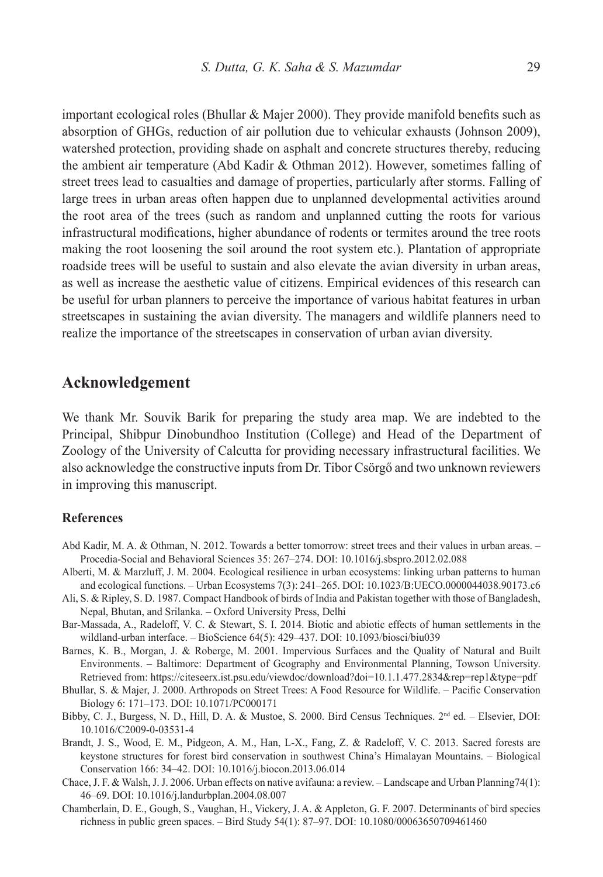important ecological roles (Bhullar & Majer 2000). They provide manifold benefits such as absorption of GHGs, reduction of air pollution due to vehicular exhausts (Johnson 2009), watershed protection, providing shade on asphalt and concrete structures thereby, reducing the ambient air temperature (Abd Kadir & Othman 2012). However, sometimes falling of street trees lead to casualties and damage of properties, particularly after storms. Falling of large trees in urban areas often happen due to unplanned developmental activities around the root area of the trees (such as random and unplanned cutting the roots for various infrastructural modifications, higher abundance of rodents or termites around the tree roots making the root loosening the soil around the root system etc.). Plantation of appropriate roadside trees will be useful to sustain and also elevate the avian diversity in urban areas, as well as increase the aesthetic value of citizens. Empirical evidences of this research can be useful for urban planners to perceive the importance of various habitat features in urban streetscapes in sustaining the avian diversity. The managers and wildlife planners need to realize the importance of the streetscapes in conservation of urban avian diversity.

## **Acknowledgement**

We thank Mr. Souvik Barik for preparing the study area map. We are indebted to the Principal, Shibpur Dinobundhoo Institution (College) and Head of the Department of Zoology of the University of Calcutta for providing necessary infrastructural facilities. We also acknowledge the constructive inputs from Dr. Tibor Csörgő and two unknown reviewers in improving this manuscript.

#### **References**

- Abd Kadir, M. A. & Othman, N. 2012. Towards a better tomorrow: street trees and their values in urban areas. Procedia-Social and Behavioral Sciences 35: 267–274. DOI: 10.1016/j.sbspro.2012.02.088
- Alberti, M. & Marzluff, J. M. 2004. Ecological resilience in urban ecosystems: linking urban patterns to human and ecological functions. – Urban Ecosystems 7(3): 241–265. DOI: 10.1023/B:UECO.0000044038.90173.c6
- Ali, S. & Ripley, S. D. 1987. Compact Handbook of birds of India and Pakistan together with those of Bangladesh, Nepal, Bhutan, and Srilanka. – Oxford University Press, Delhi
- Bar-Massada, A., Radeloff, V. C. & Stewart, S. I. 2014. Biotic and abiotic effects of human settlements in the wildland-urban interface. – BioScience 64(5): 429–437. DOI: 10.1093/biosci/biu039
- Barnes, K. B., Morgan, J. & Roberge, M. 2001. Impervious Surfaces and the Quality of Natural and Built Environments. – Baltimore: Department of Geography and Environmental Planning, Towson University. Retrieved from: https://citeseerx.ist.psu.edu/viewdoc/download?doi=10.1.1.477.2834&rep=rep1&type=pdf
- Bhullar, S. & Majer, J. 2000. Arthropods on Street Trees: A Food Resource for Wildlife. Pacific Conservation Biology 6: 171–173. DOI: 10.1071/PC000171
- Bibby, C. J., Burgess, N. D., Hill, D. A. & Mustoe, S. 2000. Bird Census Techniques. 2nd ed. Elsevier, DOI: 10.1016/C2009-0-03531-4
- Brandt, J. S., Wood, E. M., Pidgeon, A. M., Han, L-X., Fang, Z. & Radeloff, V. C. 2013. Sacred forests are keystone structures for forest bird conservation in southwest China's Himalayan Mountains. – Biological Conservation 166: 34–42. DOI: 10.1016/j.biocon.2013.06.014
- Chace, J. F. & Walsh, J. J. 2006. Urban effects on native avifauna: a review. Landscape and Urban Planning74(1): 46–69. DOI: 10.1016/j.landurbplan.2004.08.007
- Chamberlain, D. E., Gough, S., Vaughan, H., Vickery, J. A. & Appleton, G. F. 2007. Determinants of bird species richness in public green spaces. – Bird Study 54(1): 87–97. DOI: 10.1080/00063650709461460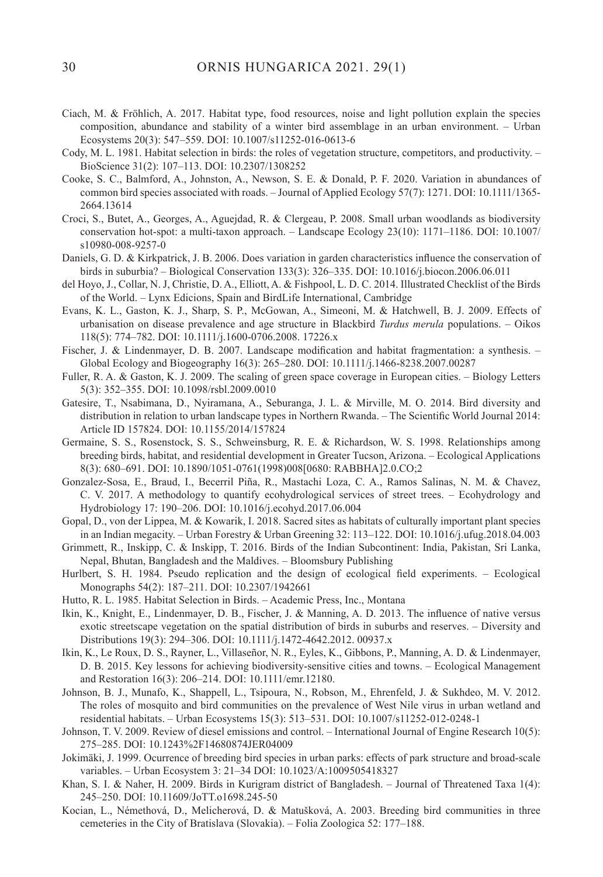- Ciach, M. & Fröhlich, A. 2017. Habitat type, food resources, noise and light pollution explain the species composition, abundance and stability of a winter bird assemblage in an urban environment. – Urban Ecosystems 20(3): 547–559. DOI: 10.1007/s11252-016-0613-6
- Cody, M. L. 1981. Habitat selection in birds: the roles of vegetation structure, competitors, and productivity. BioScience 31(2): 107–113. DOI: 10.2307/1308252
- Cooke, S. C., Balmford, A., Johnston, A., Newson, S. E. & Donald, P. F. 2020. Variation in abundances of common bird species associated with roads. – Journal of Applied Ecology 57(7): 1271. DOI: 10.1111/1365- 2664.13614
- Croci, S., Butet, A., Georges, A., Aguejdad, R. & Clergeau, P. 2008. Small urban woodlands as biodiversity conservation hot-spot: a multi-taxon approach. – Landscape Ecology 23(10): 1171–1186. DOI: 10.1007/ s10980-008-9257-0
- Daniels, G. D. & Kirkpatrick, J. B. 2006. Does variation in garden characteristics influence the conservation of birds in suburbia? – Biological Conservation 133(3): 326–335. DOI: 10.1016/j.biocon.2006.06.011
- del Hoyo, J., Collar, N. J, Christie, D. A., Elliott, A. & Fishpool, L. D. C. 2014. Illustrated Checklist of the Birds of the World. – Lynx Edicions, Spain and BirdLife International, Cambridge
- Evans, K. L., Gaston, K. J., Sharp, S. P., McGowan, A., Simeoni, M. & Hatchwell, B. J. 2009. Effects of urbanisation on disease prevalence and age structure in Blackbird *Turdus merula* populations. – Oikos 118(5): 774–782. DOI: 10.1111/j.1600-0706.2008. 17226.x
- Fischer, J. & Lindenmayer, D. B. 2007. Landscape modification and habitat fragmentation: a synthesis. Global Ecology and Biogeography 16(3): 265–280. DOI: 10.1111/j.1466-8238.2007.00287
- Fuller, R. A. & Gaston, K. J. 2009. The scaling of green space coverage in European cities. Biology Letters 5(3): 352–355. DOI: 10.1098/rsbl.2009.0010
- Gatesire, T., Nsabimana, D., Nyiramana, A., Seburanga, J. L. & Mirville, M. O. 2014. Bird diversity and distribution in relation to urban landscape types in Northern Rwanda. – The Scientific World Journal 2014: Article ID 157824. DOI: 10.1155/2014/157824
- Germaine, S. S., Rosenstock, S. S., Schweinsburg, R. E. & Richardson, W. S. 1998. Relationships among breeding birds, habitat, and residential development in Greater Tucson, Arizona. – Ecological Applications 8(3): 680–691. DOI: 10.1890/1051-0761(1998)008[0680: RABBHA]2.0.CO;2
- Gonzalez-Sosa, E., Braud, I., Becerril Piña, R., Mastachi Loza, C. A., Ramos Salinas, N. M. & Chavez, C. V. 2017. A methodology to quantify ecohydrological services of street trees. – Ecohydrology and Hydrobiology 17: 190–206. DOI: 10.1016/j.ecohyd.2017.06.004
- Gopal, D., von der Lippea, M. & Kowarik, I. 2018. Sacred sites as habitats of culturally important plant species in an Indian megacity. – Urban Forestry & Urban Greening 32: 113–122. DOI: 10.1016/j.ufug.2018.04.003
- Grimmett, R., Inskipp, C. & Inskipp, T. 2016. Birds of the Indian Subcontinent: India, Pakistan, Sri Lanka, Nepal, Bhutan, Bangladesh and the Maldives. – Bloomsbury Publishing
- Hurlbert, S. H. 1984. Pseudo replication and the design of ecological field experiments. Ecological Monographs 54(2): 187–211. DOI: 10.2307/1942661
- Hutto, R. L. 1985. Habitat Selection in Birds. Academic Press, Inc., Montana
- Ikin, K., Knight, E., Lindenmayer, D. B., Fischer, J. & Manning, A. D. 2013. The influence of native versus exotic streetscape vegetation on the spatial distribution of birds in suburbs and reserves. – Diversity and Distributions 19(3): 294–306. DOI: 10.1111/j.1472-4642.2012. 00937.x
- Ikin, K., Le Roux, D. S., Rayner, L., Villaseñor, N. R., Eyles, K., Gibbons, P., Manning, A. D. & Lindenmayer, D. B. 2015. Key lessons for achieving biodiversity-sensitive cities and towns. – Ecological Management and Restoration 16(3): 206–214. DOI: 10.1111/emr.12180.
- Johnson, B. J., Munafo, K., Shappell, L., Tsipoura, N., Robson, M., Ehrenfeld, J. & Sukhdeo, M. V. 2012. The roles of mosquito and bird communities on the prevalence of West Nile virus in urban wetland and residential habitats. – Urban Ecosystems 15(3): 513–531. DOI: 10.1007/s11252-012-0248-1
- Johnson, T. V. 2009. Review of diesel emissions and control. International Journal of Engine Research 10(5): 275–285. DOI: 10.1243%2F14680874JER04009
- Jokimäki, J. 1999. Ocurrence of breeding bird species in urban parks: effects of park structure and broad-scale variables. – Urban Ecosystem 3: 21–34 DOI: 10.1023/A:1009505418327
- Khan, S. I. & Naher, H. 2009. Birds in Kurigram district of Bangladesh. Journal of Threatened Taxa 1(4): 245–250. DOI: 10.11609/JoTT.o1698.245-50
- Kocian, L., Némethová, D., Melicherová, D. & Matušková, A. 2003. Breeding bird communities in three cemeteries in the City of Bratislava (Slovakia). – Folia Zoologica 52: 177–188.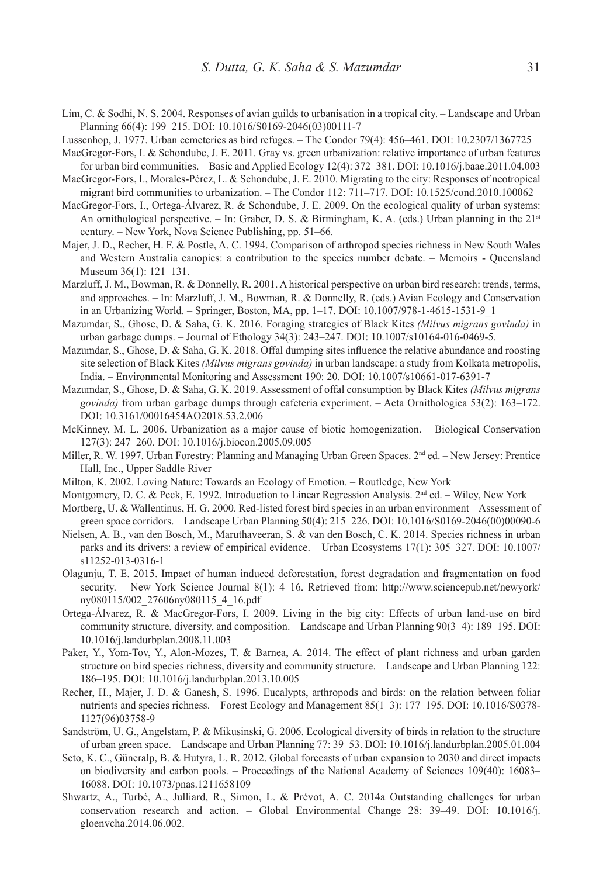- Lim, C. & Sodhi, N. S. 2004. Responses of avian guilds to urbanisation in a tropical city. Landscape and Urban Planning 66(4): 199–215. DOI: 10.1016/S0169-2046(03)00111-7
- Lussenhop, J. 1977. Urban cemeteries as bird refuges. The Condor 79(4): 456–461. DOI: 10.2307/1367725
- MacGregor-Fors, I. & Schondube, J. E. 2011. Gray vs. green urbanization: relative importance of urban features for urban bird communities. – Basic and Applied Ecology 12(4): 372–381. DOI: 10.1016/j.baae.2011.04.003
- MacGregor-Fors, I., Morales-Pérez, L. & Schondube, J. E. 2010. Migrating to the city: Responses of neotropical migrant bird communities to urbanization. – The Condor 112: 711–717. DOI: 10.1525/cond.2010.100062
- MacGregor-Fors, I., Ortega-Álvarez, R. & Schondube, J. E. 2009. On the ecological quality of urban systems: An ornithological perspective. – In: Graber, D. S. & Birmingham, K. A. (eds.) Urban planning in the  $21<sup>st</sup>$ century. – New York, Nova Science Publishing, pp. 51–66.
- Majer, J. D., Recher, H. F. & Postle, A. C. 1994. Comparison of arthropod species richness in New South Wales and Western Australia canopies: a contribution to the species number debate. – Memoirs - Queensland Museum 36(1): 121–131.
- Marzluff, J. M., Bowman, R. & Donnelly, R. 2001. A historical perspective on urban bird research: trends, terms, and approaches. – In: Marzluff, J. M., Bowman, R. & Donnelly, R. (eds.) Avian Ecology and Conservation in an Urbanizing World. – Springer, Boston, MA, pp. 1–17. DOI: 10.1007/978-1-4615-1531-9\_1
- Mazumdar, S., Ghose, D. & Saha, G. K. 2016. Foraging strategies of Black Kites *(Milvus migrans govinda)* in urban garbage dumps. – Journal of Ethology 34(3): 243–247. DOI: 10.1007/s10164-016-0469-5.
- Mazumdar, S., Ghose, D. & Saha, G. K. 2018. Offal dumping sites influence the relative abundance and roosting site selection of Black Kites *(Milvus migrans govinda)* in urban landscape: a study from Kolkata metropolis, India. – Environmental Monitoring and Assessment 190: 20. DOI: 10.1007/s10661-017-6391-7
- Mazumdar, S., Ghose, D. & Saha, G. K. 2019. Assessment of offal consumption by Black Kites *(Milvus migrans govinda)* from urban garbage dumps through cafeteria experiment. – Acta Ornithologica 53(2): 163–172. DOI: 10.3161/00016454AO2018.53.2.006
- McKinney, M. L. 2006. Urbanization as a major cause of biotic homogenization. Biological Conservation 127(3): 247–260. DOI: 10.1016/j.biocon.2005.09.005
- Miller, R. W. 1997. Urban Forestry: Planning and Managing Urban Green Spaces. 2nd ed. New Jersey: Prentice Hall, Inc., Upper Saddle River
- Milton, K. 2002. Loving Nature: Towards an Ecology of Emotion. Routledge, New York
- Montgomery, D. C. & Peck, E. 1992. Introduction to Linear Regression Analysis. 2<sup>nd</sup> ed. Wiley, New York
- Mortberg, U. & Wallentinus, H. G. 2000. Red-listed forest bird species in an urban environment Assessment of green space corridors. – Landscape Urban Planning 50(4): 215–226. DOI: 10.1016/S0169-2046(00)00090-6
- Nielsen, A. B., van den Bosch, M., Maruthaveeran, S. & van den Bosch, C. K. 2014. Species richness in urban parks and its drivers: a review of empirical evidence. – Urban Ecosystems 17(1): 305–327. DOI: 10.1007/ s11252-013-0316-1
- Olagunju, T. E. 2015. Impact of human induced deforestation, forest degradation and fragmentation on food security. – New York Science Journal 8(1): 4–16. Retrieved from: http://www.sciencepub.net/newyork/ ny080115/002\_27606ny080115\_4\_16.pdf
- Ortega-Álvarez, R. & MacGregor-Fors, I. 2009. Living in the big city: Effects of urban land-use on bird community structure, diversity, and composition. – Landscape and Urban Planning 90(3–4): 189–195. DOI: 10.1016/j.landurbplan.2008.11.003
- Paker, Y., Yom-Tov, Y., Alon-Mozes, T. & Barnea, A. 2014. The effect of plant richness and urban garden structure on bird species richness, diversity and community structure. – Landscape and Urban Planning 122: 186–195. DOI: 10.1016/j.landurbplan.2013.10.005
- Recher, H., Majer, J. D. & Ganesh, S. 1996. Eucalypts, arthropods and birds: on the relation between foliar nutrients and species richness. – Forest Ecology and Management 85(1–3): 177–195. DOI: 10.1016/S0378- 1127(96)03758-9
- Sandström, U. G., Angelstam, P. & Mikusinski, G. 2006. Ecological diversity of birds in relation to the structure of urban green space. – Landscape and Urban Planning 77: 39–53. DOI: 10.1016/j.landurbplan.2005.01.004
- Seto, K. C., Güneralp, B. & Hutyra, L. R. 2012. Global forecasts of urban expansion to 2030 and direct impacts on biodiversity and carbon pools. – Proceedings of the National Academy of Sciences 109(40): 16083– 16088. DOI: 10.1073/pnas.1211658109
- Shwartz, A., Turbé, A., Julliard, R., Simon, L. & Prévot, A. C. 2014a Outstanding challenges for urban conservation research and action. – Global Environmental Change 28: 39–49. DOI: 10.1016/j. gloenvcha.2014.06.002.